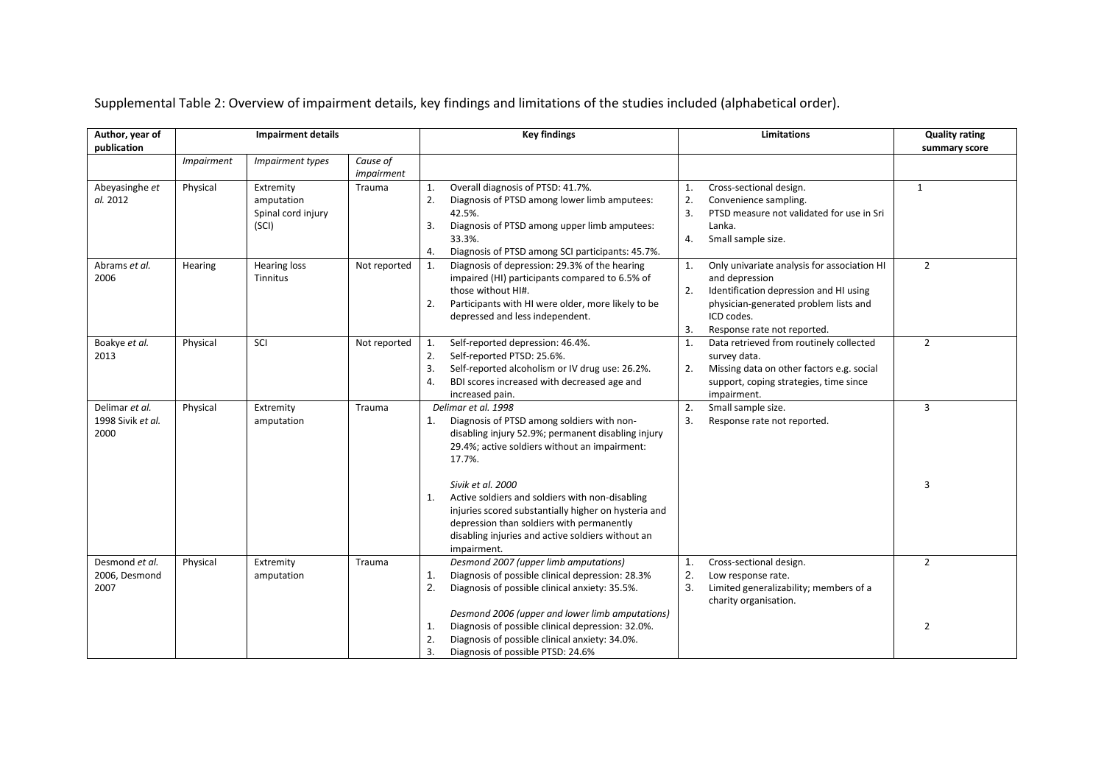| Author, year of                             |                   |                                                        |                        | <b>Key findings</b>                                                                                                                                                                                                                                 | <b>Limitations</b>                                                                                                                                                                                              | <b>Quality rating</b> |
|---------------------------------------------|-------------------|--------------------------------------------------------|------------------------|-----------------------------------------------------------------------------------------------------------------------------------------------------------------------------------------------------------------------------------------------------|-----------------------------------------------------------------------------------------------------------------------------------------------------------------------------------------------------------------|-----------------------|
| publication                                 |                   |                                                        |                        |                                                                                                                                                                                                                                                     |                                                                                                                                                                                                                 | summary score         |
|                                             | <b>Impairment</b> | Impairment types                                       | Cause of<br>impairment |                                                                                                                                                                                                                                                     |                                                                                                                                                                                                                 |                       |
| Abeyasinghe et<br>al. 2012                  | Physical          | Extremity<br>amputation<br>Spinal cord injury<br>(SCI) | Trauma                 | Overall diagnosis of PTSD: 41.7%.<br>1.<br>2.<br>Diagnosis of PTSD among lower limb amputees:<br>42.5%.<br>3.<br>Diagnosis of PTSD among upper limb amputees:<br>33.3%.<br>Diagnosis of PTSD among SCI participants: 45.7%.<br>4.                   | Cross-sectional design.<br>1.<br>2.<br>Convenience sampling.<br>3.<br>PTSD measure not validated for use in Sri<br>Lanka.<br>Small sample size.<br>4.                                                           | $\mathbf{1}$          |
| Abrams et al.<br>2006                       | Hearing           | Hearing loss<br>Tinnitus                               | Not reported           | Diagnosis of depression: 29.3% of the hearing<br>1.<br>impaired (HI) participants compared to 6.5% of<br>those without HI#.<br>Participants with HI were older, more likely to be<br>2.<br>depressed and less independent.                          | Only univariate analysis for association HI<br>1.<br>and depression<br>2.<br>Identification depression and HI using<br>physician-generated problem lists and<br>ICD codes.<br>3.<br>Response rate not reported. | $\overline{2}$        |
| Boakye et al.<br>2013                       | Physical          | SCI                                                    | Not reported           | Self-reported depression: 46.4%.<br>1.<br>2.<br>Self-reported PTSD: 25.6%.<br>Self-reported alcoholism or IV drug use: 26.2%.<br>3.<br>BDI scores increased with decreased age and<br>4.<br>increased pain.                                         | Data retrieved from routinely collected<br>1.<br>survey data.<br>2.<br>Missing data on other factors e.g. social<br>support, coping strategies, time since<br>impairment.                                       | $\overline{2}$        |
| Delimar et al.<br>1998 Sivik et al.<br>2000 | Physical          | Extremity<br>amputation                                | Trauma                 | Delimar et al. 1998<br>Diagnosis of PTSD among soldiers with non-<br>1.<br>disabling injury 52.9%; permanent disabling injury<br>29.4%; active soldiers without an impairment:<br>17.7%.                                                            | 2.<br>Small sample size.<br>3.<br>Response rate not reported.                                                                                                                                                   | 3                     |
|                                             |                   |                                                        |                        | Sivik et al. 2000<br>Active soldiers and soldiers with non-disabling<br>1.<br>injuries scored substantially higher on hysteria and<br>depression than soldiers with permanently<br>disabling injuries and active soldiers without an<br>impairment. |                                                                                                                                                                                                                 | 3                     |
| Desmond et al.<br>2006, Desmond<br>2007     | Physical          | Extremity<br>amputation                                | Trauma                 | Desmond 2007 (upper limb amputations)<br>Diagnosis of possible clinical depression: 28.3%<br>1.<br>2.<br>Diagnosis of possible clinical anxiety: 35.5%.                                                                                             | Cross-sectional design.<br>1.<br>2.<br>Low response rate.<br>3.<br>Limited generalizability; members of a<br>charity organisation.                                                                              | $\overline{2}$        |
|                                             |                   |                                                        |                        | Desmond 2006 (upper and lower limb amputations)<br>Diagnosis of possible clinical depression: 32.0%.<br>1.<br>Diagnosis of possible clinical anxiety: 34.0%.<br>2.<br>3.<br>Diagnosis of possible PTSD: 24.6%                                       |                                                                                                                                                                                                                 | $\overline{2}$        |

Supplemental Table 2: Overview of impairment details, key findings and limitations of the studies included (alphabetical order).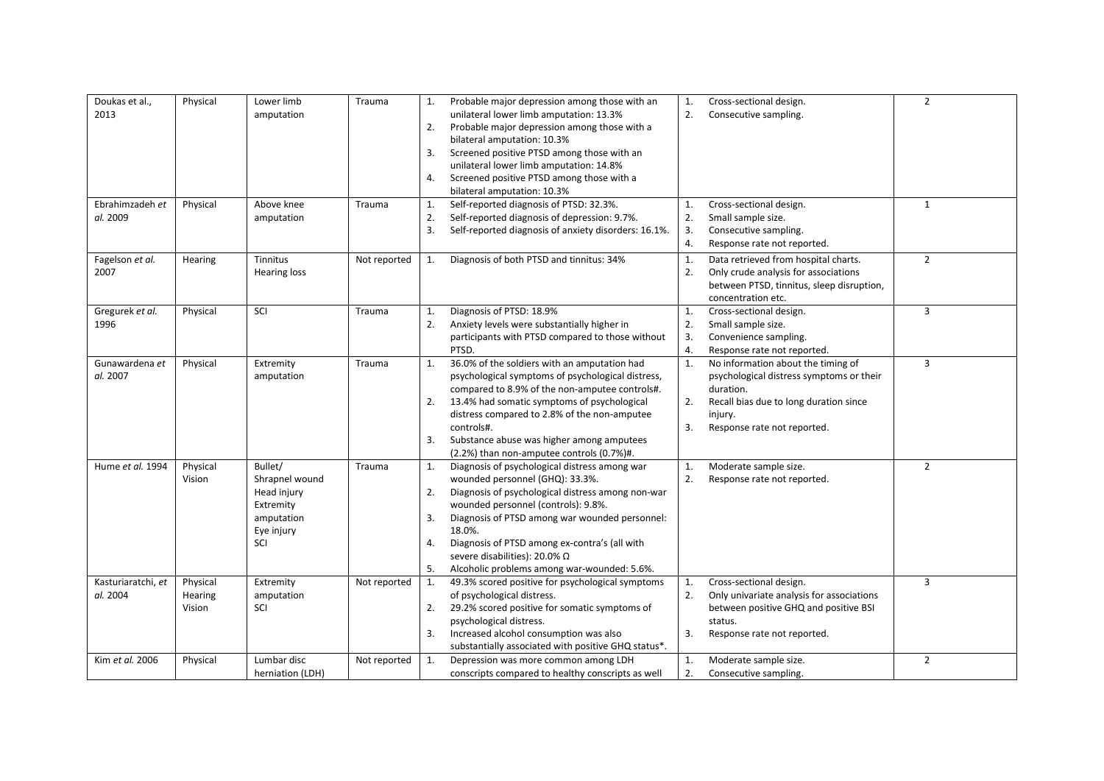| Doukas et al.,<br>2013<br>Ebrahimzadeh et<br>al. 2009 | Physical<br>Physical          | Lower limb<br>amputation<br>Above knee<br>amputation                                     | Trauma<br>Trauma | 1.<br>2.<br>3.<br>4.<br>1.<br>2. | Probable major depression among those with an<br>unilateral lower limb amputation: 13.3%<br>Probable major depression among those with a<br>bilateral amputation: 10.3%<br>Screened positive PTSD among those with an<br>unilateral lower limb amputation: 14.8%<br>Screened positive PTSD among those with a<br>bilateral amputation: 10.3%<br>Self-reported diagnosis of PTSD: 32.3%.<br>Self-reported diagnosis of depression: 9.7%. | 1.<br>2.<br>1.<br>2. | Cross-sectional design.<br>Consecutive sampling.<br>Cross-sectional design.<br>Small sample size.                                                                               | $\overline{2}$<br>$\mathbf{1}$ |
|-------------------------------------------------------|-------------------------------|------------------------------------------------------------------------------------------|------------------|----------------------------------|-----------------------------------------------------------------------------------------------------------------------------------------------------------------------------------------------------------------------------------------------------------------------------------------------------------------------------------------------------------------------------------------------------------------------------------------|----------------------|---------------------------------------------------------------------------------------------------------------------------------------------------------------------------------|--------------------------------|
| Fagelson et al.                                       | Hearing                       | Tinnitus                                                                                 | Not reported     | 3.<br>1.                         | Self-reported diagnosis of anxiety disorders: 16.1%.<br>Diagnosis of both PTSD and tinnitus: 34%                                                                                                                                                                                                                                                                                                                                        | 3.<br>4.<br>1.       | Consecutive sampling.<br>Response rate not reported.<br>Data retrieved from hospital charts.                                                                                    | $\overline{2}$                 |
| 2007                                                  |                               | <b>Hearing loss</b>                                                                      |                  |                                  |                                                                                                                                                                                                                                                                                                                                                                                                                                         | 2.                   | Only crude analysis for associations<br>between PTSD, tinnitus, sleep disruption,<br>concentration etc.                                                                         |                                |
| Gregurek et al.<br>1996                               | Physical                      | SCI                                                                                      | Trauma           | 1.<br>2.                         | Diagnosis of PTSD: 18.9%<br>Anxiety levels were substantially higher in<br>participants with PTSD compared to those without<br>PTSD.                                                                                                                                                                                                                                                                                                    | 1.<br>2.<br>3.<br>4. | Cross-sectional design.<br>Small sample size.<br>Convenience sampling.<br>Response rate not reported.                                                                           | 3                              |
| Gunawardena et<br>al. 2007                            | Physical                      | Extremity<br>amputation                                                                  | Trauma           | 1.<br>2.<br>3.                   | 36.0% of the soldiers with an amputation had<br>psychological symptoms of psychological distress,<br>compared to 8.9% of the non-amputee controls#.<br>13.4% had somatic symptoms of psychological<br>distress compared to 2.8% of the non-amputee<br>controls#.<br>Substance abuse was higher among amputees<br>(2.2%) than non-amputee controls (0.7%)#.                                                                              | 1.<br>2.<br>3.       | No information about the timing of<br>psychological distress symptoms or their<br>duration.<br>Recall bias due to long duration since<br>injury.<br>Response rate not reported. | 3                              |
| Hume et al. 1994                                      | Physical<br>Vision            | Bullet/<br>Shrapnel wound<br>Head injury<br>Extremity<br>amputation<br>Eye injury<br>SCI | Trauma           | 1.<br>2.<br>3.<br>4.<br>5.       | Diagnosis of psychological distress among war<br>wounded personnel (GHQ): 33.3%.<br>Diagnosis of psychological distress among non-war<br>wounded personnel (controls): 9.8%.<br>Diagnosis of PTSD among war wounded personnel:<br>18.0%.<br>Diagnosis of PTSD among ex-contra's (all with<br>severe disabilities): 20.0% Ω<br>Alcoholic problems among war-wounded: 5.6%.                                                               | 1.<br>2.             | Moderate sample size.<br>Response rate not reported.                                                                                                                            | $\overline{2}$                 |
| Kasturiaratchi, et<br>al. 2004                        | Physical<br>Hearing<br>Vision | Extremity<br>amputation<br>SCI                                                           | Not reported     | 1.<br>2.<br>3.                   | 49.3% scored positive for psychological symptoms<br>of psychological distress.<br>29.2% scored positive for somatic symptoms of<br>psychological distress.<br>Increased alcohol consumption was also<br>substantially associated with positive GHQ status*.                                                                                                                                                                             | 1.<br>2.<br>3.       | Cross-sectional design.<br>Only univariate analysis for associations<br>between positive GHQ and positive BSI<br>status.<br>Response rate not reported.                         | 3                              |
| Kim et al. 2006                                       | Physical                      | Lumbar disc<br>herniation (LDH)                                                          | Not reported     | 1.                               | Depression was more common among LDH<br>conscripts compared to healthy conscripts as well                                                                                                                                                                                                                                                                                                                                               | 1.<br>2.             | Moderate sample size.<br>Consecutive sampling.                                                                                                                                  | $\overline{2}$                 |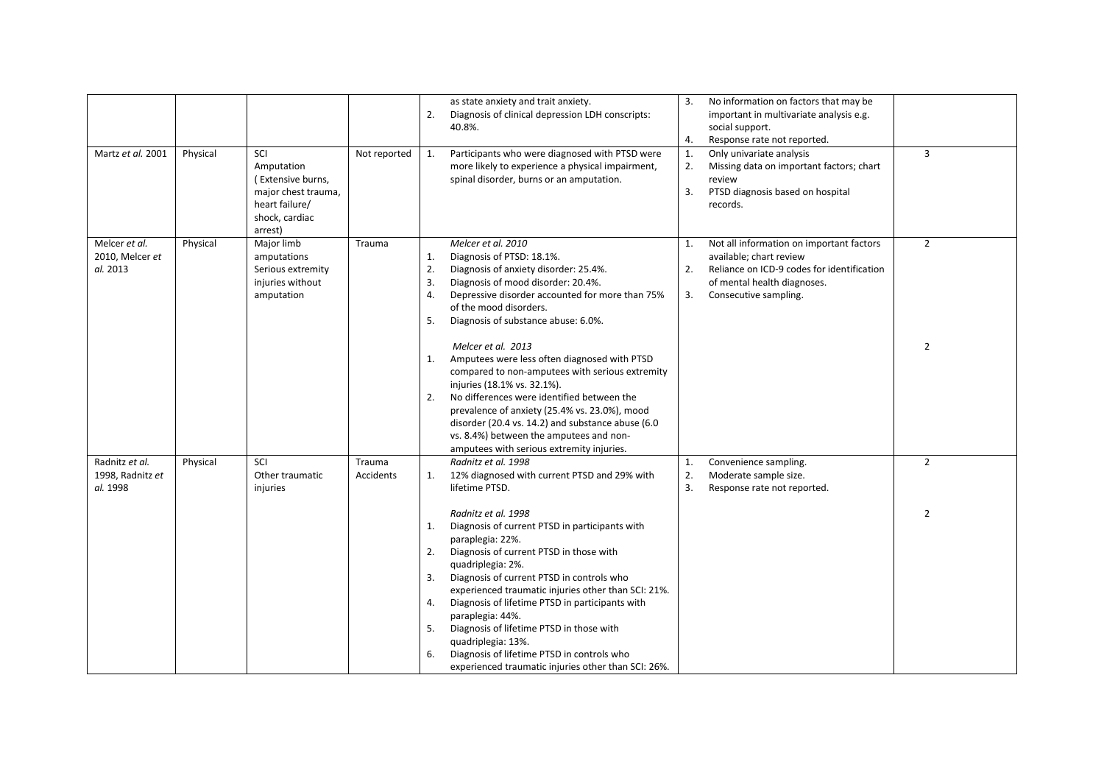|                                                |          |                                                                                                              |                     | 2.                               | as state anxiety and trait anxiety.<br>Diagnosis of clinical depression LDH conscripts:<br>40.8%.                                                                                                                                                                                                                                                                                                                                                                                                           | 3.<br>4.       | No information on factors that may be<br>important in multivariate analysis e.g.<br>social support.<br>Response rate not reported.                                        |                |
|------------------------------------------------|----------|--------------------------------------------------------------------------------------------------------------|---------------------|----------------------------------|-------------------------------------------------------------------------------------------------------------------------------------------------------------------------------------------------------------------------------------------------------------------------------------------------------------------------------------------------------------------------------------------------------------------------------------------------------------------------------------------------------------|----------------|---------------------------------------------------------------------------------------------------------------------------------------------------------------------------|----------------|
| Martz et al. 2001                              | Physical | SCI<br>Amputation<br>(Extensive burns,<br>major chest trauma,<br>heart failure/<br>shock, cardiac<br>arrest) | Not reported        | 1.                               | Participants who were diagnosed with PTSD were<br>more likely to experience a physical impairment,<br>spinal disorder, burns or an amputation.                                                                                                                                                                                                                                                                                                                                                              | 1.<br>2.<br>3. | Only univariate analysis<br>Missing data on important factors; chart<br>review<br>PTSD diagnosis based on hospital<br>records.                                            | $\overline{3}$ |
| Melcer et al.<br>2010, Melcer et<br>al. 2013   | Physical | Major limb<br>amputations<br>Serious extremity<br>injuries without<br>amputation                             | Trauma              | 1.<br>2.<br>3.<br>4.<br>5.       | Melcer et al. 2010<br>Diagnosis of PTSD: 18.1%.<br>Diagnosis of anxiety disorder: 25.4%.<br>Diagnosis of mood disorder: 20.4%.<br>Depressive disorder accounted for more than 75%<br>of the mood disorders.<br>Diagnosis of substance abuse: 6.0%.                                                                                                                                                                                                                                                          | 1.<br>2.<br>3. | Not all information on important factors<br>available; chart review<br>Reliance on ICD-9 codes for identification<br>of mental health diagnoses.<br>Consecutive sampling. | $\overline{2}$ |
|                                                |          |                                                                                                              |                     | 1.<br>2.                         | Melcer et al. 2013<br>Amputees were less often diagnosed with PTSD<br>compared to non-amputees with serious extremity<br>injuries (18.1% vs. 32.1%).<br>No differences were identified between the<br>prevalence of anxiety (25.4% vs. 23.0%), mood<br>disorder (20.4 vs. 14.2) and substance abuse (6.0<br>vs. 8.4%) between the amputees and non-<br>amputees with serious extremity injuries.                                                                                                            |                |                                                                                                                                                                           | $\overline{2}$ |
| Radnitz et al.<br>1998, Radnitz et<br>al. 1998 | Physical | SCI<br>Other traumatic<br>injuries                                                                           | Trauma<br>Accidents | 1.                               | Radnitz et al. 1998<br>12% diagnosed with current PTSD and 29% with<br>lifetime PTSD.                                                                                                                                                                                                                                                                                                                                                                                                                       | 1.<br>2.<br>3. | Convenience sampling.<br>Moderate sample size.<br>Response rate not reported.                                                                                             | $\overline{2}$ |
|                                                |          |                                                                                                              |                     | 1.<br>2.<br>3.<br>4.<br>5.<br>6. | Radnitz et al. 1998<br>Diagnosis of current PTSD in participants with<br>paraplegia: 22%.<br>Diagnosis of current PTSD in those with<br>quadriplegia: 2%.<br>Diagnosis of current PTSD in controls who<br>experienced traumatic injuries other than SCI: 21%.<br>Diagnosis of lifetime PTSD in participants with<br>paraplegia: 44%.<br>Diagnosis of lifetime PTSD in those with<br>quadriplegia: 13%.<br>Diagnosis of lifetime PTSD in controls who<br>experienced traumatic injuries other than SCI: 26%. |                |                                                                                                                                                                           | $\overline{2}$ |